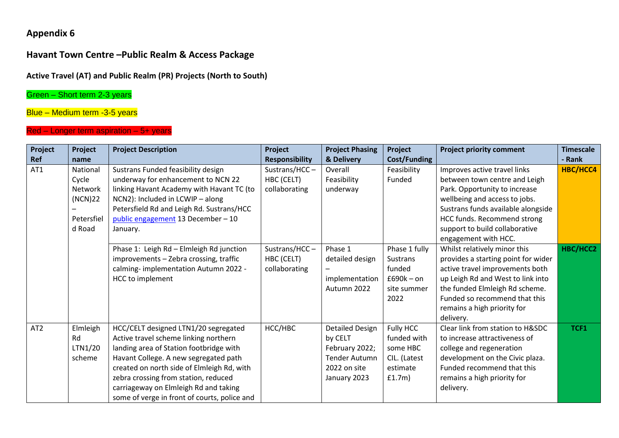# **Appendix 6**

# **Havant Town Centre –Public Realm & Access Package**

#### **Active Travel (AT) and Public Realm (PR) Projects (North to South)**

### Green – Short term 2-3 years

### Blue – Medium term -3-5 years

#### Red – Longer term aspiration – 5+ years

| Project         | Project    | <b>Project Description</b>                   | Project               | <b>Project Phasing</b> | Project             | <b>Project priority comment</b>     | <b>Timescale</b> |
|-----------------|------------|----------------------------------------------|-----------------------|------------------------|---------------------|-------------------------------------|------------------|
| Ref             | name       |                                              | <b>Responsibility</b> | & Delivery             | <b>Cost/Funding</b> |                                     | - Rank           |
| AT1             | National   | Sustrans Funded feasibility design           | Sustrans/HCC-         | Overall                | Feasibility         | Improves active travel links        | HBC/HCC4         |
|                 | Cycle      | underway for enhancement to NCN 22           | HBC (CELT)            | Feasibility            | Funded              | between town centre and Leigh       |                  |
|                 | Network    | linking Havant Academy with Havant TC (to    | collaborating         | underway               |                     | Park. Opportunity to increase       |                  |
|                 | (NCN)22    | NCN2): Included in LCWIP - along             |                       |                        |                     | wellbeing and access to jobs.       |                  |
|                 |            | Petersfield Rd and Leigh Rd. Sustrans/HCC    |                       |                        |                     | Sustrans funds available alongside  |                  |
|                 | Petersfiel | public engagement 13 December - 10           |                       |                        |                     | HCC funds. Recommend strong         |                  |
|                 | d Road     | January.                                     |                       |                        |                     | support to build collaborative      |                  |
|                 |            |                                              |                       |                        |                     | engagement with HCC.                |                  |
|                 |            | Phase 1: Leigh Rd - Elmleigh Rd junction     | Sustrans/HCC $-$      | Phase 1                | Phase 1 fully       | Whilst relatively minor this        | HBC/HCC2         |
|                 |            | improvements - Zebra crossing, traffic       | HBC (CELT)            | detailed design        | Sustrans            | provides a starting point for wider |                  |
|                 |            | calming-implementation Autumn 2022 -         | collaborating         |                        | funded              | active travel improvements both     |                  |
|                 |            | HCC to implement                             |                       | implementation         | $£690k - on$        | up Leigh Rd and West to link into   |                  |
|                 |            |                                              |                       | Autumn 2022            | site summer         | the funded Elmleigh Rd scheme.      |                  |
|                 |            |                                              |                       |                        | 2022                | Funded so recommend that this       |                  |
|                 |            |                                              |                       |                        |                     | remains a high priority for         |                  |
|                 |            |                                              |                       |                        |                     | delivery.                           |                  |
| AT <sub>2</sub> | Elmleigh   | HCC/CELT designed LTN1/20 segregated         | HCC/HBC               | <b>Detailed Design</b> | Fully HCC           | Clear link from station to H&SDC    | TCF1             |
|                 | Rd         | Active travel scheme linking northern        |                       | by CELT                | funded with         | to increase attractiveness of       |                  |
|                 | LTN1/20    | landing area of Station footbridge with      |                       | February 2022;         | some HBC            | college and regeneration            |                  |
|                 | scheme     | Havant College. A new segregated path        |                       | <b>Tender Autumn</b>   | CIL. (Latest        | development on the Civic plaza.     |                  |
|                 |            | created on north side of Elmleigh Rd, with   |                       | 2022 on site           | estimate            | Funded recommend that this          |                  |
|                 |            | zebra crossing from station, reduced         |                       | January 2023           | f1.7m)              | remains a high priority for         |                  |
|                 |            | carriageway on Elmleigh Rd and taking        |                       |                        |                     | delivery.                           |                  |
|                 |            | some of verge in front of courts, police and |                       |                        |                     |                                     |                  |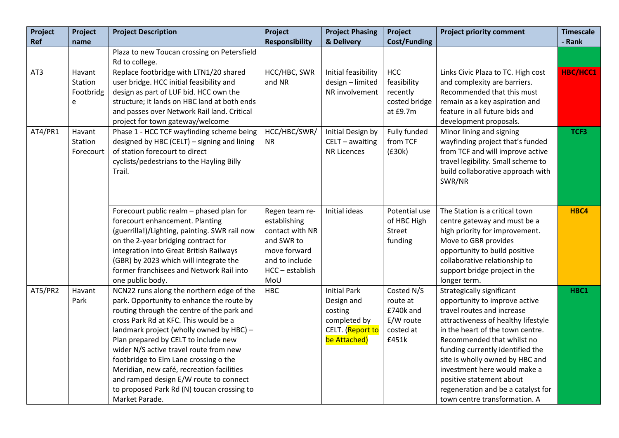| Project | Project   | <b>Project Description</b>                                    | Project                | <b>Project Phasing</b> | Project             | <b>Project priority comment</b>                            | <b>Timescale</b> |
|---------|-----------|---------------------------------------------------------------|------------------------|------------------------|---------------------|------------------------------------------------------------|------------------|
| Ref     | name      |                                                               | <b>Responsibility</b>  | & Delivery             | <b>Cost/Funding</b> |                                                            | - Rank           |
|         |           | Plaza to new Toucan crossing on Petersfield                   |                        |                        |                     |                                                            |                  |
|         |           | Rd to college.                                                |                        |                        |                     |                                                            |                  |
| AT3     | Havant    | Replace footbridge with LTN1/20 shared                        | HCC/HBC, SWR           | Initial feasibility    | <b>HCC</b>          | Links Civic Plaza to TC. High cost                         | HBC/HCC1         |
|         | Station   | user bridge. HCC initial feasibility and                      | and NR                 | design - limited       | feasibility         | and complexity are barriers.                               |                  |
|         | Footbridg | design as part of LUF bid. HCC own the                        |                        | NR involvement         | recently            | Recommended that this must                                 |                  |
|         | e         | structure; it lands on HBC land at both ends                  |                        |                        | costed bridge       | remain as a key aspiration and                             |                  |
|         |           | and passes over Network Rail land. Critical                   |                        |                        | at £9.7m            | feature in all future bids and                             |                  |
|         |           | project for town gateway/welcome                              |                        |                        |                     | development proposals.                                     |                  |
| AT4/PR1 | Havant    | Phase 1 - HCC TCF wayfinding scheme being                     | HCC/HBC/SWR/           | Initial Design by      | Fully funded        | Minor lining and signing                                   | TCF3             |
|         | Station   | designed by HBC (CELT) - signing and lining                   | <b>NR</b>              | CELT - awaiting        | from TCF            | wayfinding project that's funded                           |                  |
|         | Forecourt | of station forecourt to direct                                |                        | <b>NR Licences</b>     | (E30k)              | from TCF and will improve active                           |                  |
|         |           | cyclists/pedestrians to the Hayling Billy                     |                        |                        |                     | travel legibility. Small scheme to                         |                  |
|         |           | Trail.                                                        |                        |                        |                     | build collaborative approach with                          |                  |
|         |           |                                                               |                        |                        |                     | SWR/NR                                                     |                  |
|         |           |                                                               |                        |                        |                     |                                                            |                  |
|         |           |                                                               |                        |                        |                     |                                                            |                  |
|         |           | Forecourt public realm - phased plan for                      | Regen team re-         | Initial ideas          | Potential use       | The Station is a critical town                             | HBC4             |
|         |           | forecourt enhancement. Planting                               | establishing           |                        | of HBC High         | centre gateway and must be a                               |                  |
|         |           | (guerrilla!)/Lighting, painting. SWR rail now                 | contact with NR        |                        | <b>Street</b>       | high priority for improvement.                             |                  |
|         |           | on the 2-year bridging contract for                           | and SWR to             |                        | funding             | Move to GBR provides                                       |                  |
|         |           | integration into Great British Railways                       | move forward           |                        |                     | opportunity to build positive                              |                  |
|         |           | (GBR) by 2023 which will integrate the                        | and to include         |                        |                     | collaborative relationship to                              |                  |
|         |           | former franchisees and Network Rail into                      | HCC - establish<br>MoU |                        |                     | support bridge project in the                              |                  |
| AT5/PR2 | Havant    | one public body.<br>NCN22 runs along the northern edge of the | <b>HBC</b>             | <b>Initial Park</b>    | Costed N/S          | longer term.                                               | HBC1             |
|         | Park      | park. Opportunity to enhance the route by                     |                        | Design and             | route at            | Strategically significant<br>opportunity to improve active |                  |
|         |           | routing through the centre of the park and                    |                        | costing                | £740k and           | travel routes and increase                                 |                  |
|         |           | cross Park Rd at KFC. This would be a                         |                        | completed by           | E/W route           | attractiveness of healthy lifestyle                        |                  |
|         |           | landmark project (wholly owned by HBC) -                      |                        | CELT. (Report to       | costed at           | in the heart of the town centre.                           |                  |
|         |           | Plan prepared by CELT to include new                          |                        | be Attached)           | £451k               | Recommended that whilst no                                 |                  |
|         |           | wider N/S active travel route from new                        |                        |                        |                     | funding currently identified the                           |                  |
|         |           | footbridge to Elm Lane crossing o the                         |                        |                        |                     | site is wholly owned by HBC and                            |                  |
|         |           | Meridian, new café, recreation facilities                     |                        |                        |                     | investment here would make a                               |                  |
|         |           | and ramped design E/W route to connect                        |                        |                        |                     | positive statement about                                   |                  |
|         |           | to proposed Park Rd (N) toucan crossing to                    |                        |                        |                     | regeneration and be a catalyst for                         |                  |
|         |           | Market Parade.                                                |                        |                        |                     | town centre transformation. A                              |                  |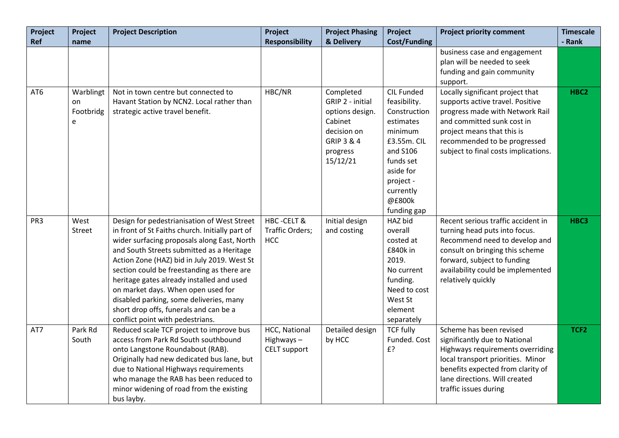| Project         | Project   | <b>Project Description</b>                      | Project               | <b>Project Phasing</b> | Project                 | <b>Project priority comment</b>      | <b>Timescale</b> |
|-----------------|-----------|-------------------------------------------------|-----------------------|------------------------|-------------------------|--------------------------------------|------------------|
| Ref             | name      |                                                 | <b>Responsibility</b> | & Delivery             | <b>Cost/Funding</b>     |                                      | - Rank           |
|                 |           |                                                 |                       |                        |                         | business case and engagement         |                  |
|                 |           |                                                 |                       |                        |                         | plan will be needed to seek          |                  |
|                 |           |                                                 |                       |                        |                         | funding and gain community           |                  |
|                 |           |                                                 |                       |                        |                         | support.                             |                  |
| AT6             | Warblingt | Not in town centre but connected to             | HBC/NR                | Completed              | CIL Funded              | Locally significant project that     | HBC <sub>2</sub> |
|                 | on        | Havant Station by NCN2. Local rather than       |                       | GRIP 2 - initial       | feasibility.            | supports active travel. Positive     |                  |
|                 | Footbridg | strategic active travel benefit.                |                       | options design.        | Construction            | progress made with Network Rail      |                  |
|                 | e         |                                                 |                       | Cabinet                | estimates               | and committed sunk cost in           |                  |
|                 |           |                                                 |                       | decision on            | minimum                 | project means that this is           |                  |
|                 |           |                                                 |                       | GRIP 3 & 4             | £3.55m. CIL<br>and S106 | recommended to be progressed         |                  |
|                 |           |                                                 |                       | progress<br>15/12/21   | funds set               | subject to final costs implications. |                  |
|                 |           |                                                 |                       |                        | aside for               |                                      |                  |
|                 |           |                                                 |                       |                        | project -               |                                      |                  |
|                 |           |                                                 |                       |                        | currently               |                                      |                  |
|                 |           |                                                 |                       |                        | @£800k                  |                                      |                  |
|                 |           |                                                 |                       |                        | funding gap             |                                      |                  |
| PR <sub>3</sub> | West      | Design for pedestrianisation of West Street     | <b>HBC-CELT &amp;</b> | Initial design         | HAZ bid                 | Recent serious traffic accident in   | HBC3             |
|                 | Street    | in front of St Faiths church. Initially part of | Traffic Orders;       | and costing            | overall                 | turning head puts into focus.        |                  |
|                 |           | wider surfacing proposals along East, North     | <b>HCC</b>            |                        | costed at               | Recommend need to develop and        |                  |
|                 |           | and South Streets submitted as a Heritage       |                       |                        | £840k in                | consult on bringing this scheme      |                  |
|                 |           | Action Zone (HAZ) bid in July 2019. West St     |                       |                        | 2019.                   | forward, subject to funding          |                  |
|                 |           | section could be freestanding as there are      |                       |                        | No current              | availability could be implemented    |                  |
|                 |           | heritage gates already installed and used       |                       |                        | funding.                | relatively quickly                   |                  |
|                 |           | on market days. When open used for              |                       |                        | Need to cost            |                                      |                  |
|                 |           | disabled parking, some deliveries, many         |                       |                        | West St                 |                                      |                  |
|                 |           | short drop offs, funerals and can be a          |                       |                        | element                 |                                      |                  |
|                 |           | conflict point with pedestrians.                |                       |                        | separately              |                                      |                  |
| AT7             | Park Rd   | Reduced scale TCF project to improve bus        | HCC, National         | Detailed design        | <b>TCF fully</b>        | Scheme has been revised              | TCF <sub>2</sub> |
|                 | South     | access from Park Rd South southbound            | Highways-             | by HCC                 | Funded. Cost            | significantly due to National        |                  |
|                 |           | onto Langstone Roundabout (RAB).                | CELT support          |                        | £?                      | Highways requirements overriding     |                  |
|                 |           | Originally had new dedicated bus lane, but      |                       |                        |                         | local transport priorities. Minor    |                  |
|                 |           | due to National Highways requirements           |                       |                        |                         | benefits expected from clarity of    |                  |
|                 |           | who manage the RAB has been reduced to          |                       |                        |                         | lane directions. Will created        |                  |
|                 |           | minor widening of road from the existing        |                       |                        |                         | traffic issues during                |                  |
|                 |           | bus layby.                                      |                       |                        |                         |                                      |                  |